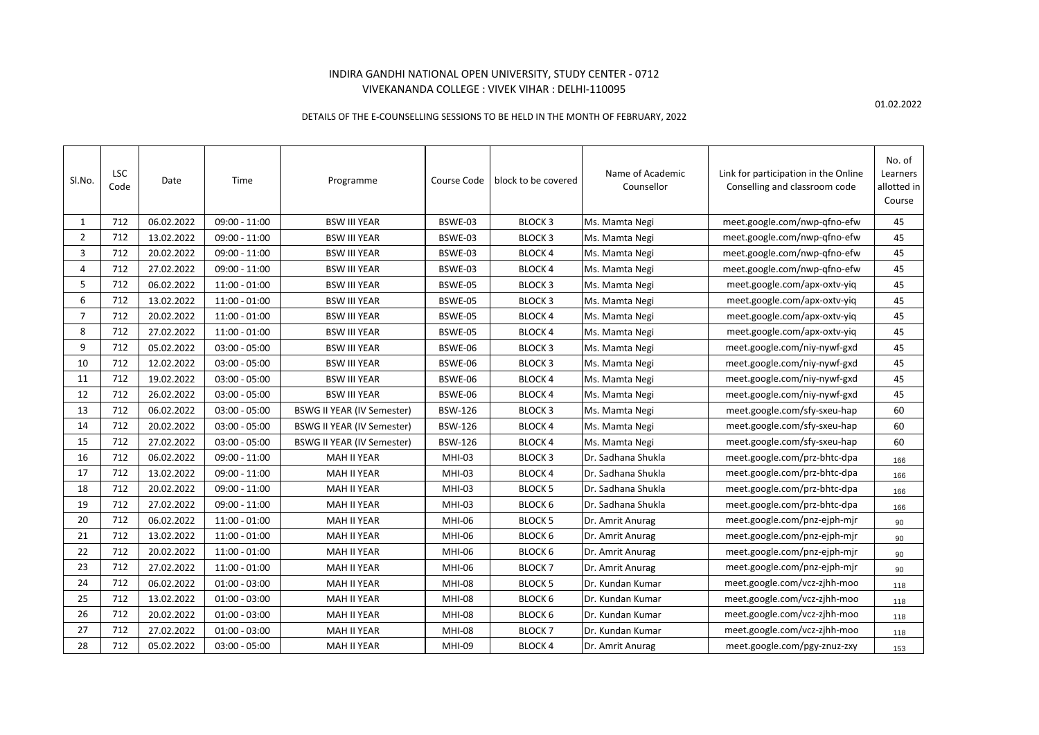## INDIRA GANDHI NATIONAL OPEN UNIVERSITY, STUDY CENTER - 0712 VIVEKANANDA COLLEGE : VIVEK VIHAR : DELHI-110095

DETAILS OF THE E-COUNSELLING SESSIONS TO BE HELD IN THE MONTH OF FEBRUARY, 2022

| SI.No.         | LSC<br>Code | Date       | Time            | Programme                         | Course Code    | block to be covered | Name of Academic<br>Counsellor | Link for participation in the Online<br>Conselling and classroom code | No. of<br>Learners<br>allotted in<br>Course |
|----------------|-------------|------------|-----------------|-----------------------------------|----------------|---------------------|--------------------------------|-----------------------------------------------------------------------|---------------------------------------------|
| $\mathbf{1}$   | 712         | 06.02.2022 | $09:00 - 11:00$ | <b>BSW III YEAR</b>               | BSWE-03        | <b>BLOCK 3</b>      | Ms. Mamta Negi                 | meet.google.com/nwp-qfno-efw                                          | 45                                          |
| $\overline{2}$ | 712         | 13.02.2022 | $09:00 - 11:00$ | <b>BSW III YEAR</b>               | BSWE-03        | <b>BLOCK 3</b>      | Ms. Mamta Negi                 | meet.google.com/nwp-qfno-efw                                          | 45                                          |
| 3              | 712         | 20.02.2022 | $09:00 - 11:00$ | <b>BSW III YEAR</b>               | BSWE-03        | <b>BLOCK 4</b>      | Ms. Mamta Negi                 | meet.google.com/nwp-qfno-efw                                          | 45                                          |
| 4              | 712         | 27.02.2022 | $09:00 - 11:00$ | <b>BSW III YEAR</b>               | BSWE-03        | <b>BLOCK4</b>       | Ms. Mamta Negi                 | meet.google.com/nwp-qfno-efw                                          | 45                                          |
| 5              | 712         | 06.02.2022 | $11:00 - 01:00$ | <b>BSW III YEAR</b>               | BSWE-05        | <b>BLOCK 3</b>      | Ms. Mamta Negi                 | meet.google.com/apx-oxtv-yiq                                          | 45                                          |
| 6              | 712         | 13.02.2022 | 11:00 - 01:00   | <b>BSW III YEAR</b>               | BSWE-05        | <b>BLOCK 3</b>      | Ms. Mamta Negi                 | meet.google.com/apx-oxtv-yiq                                          | 45                                          |
| $\overline{7}$ | 712         | 20.02.2022 | $11:00 - 01:00$ | <b>BSW III YEAR</b>               | BSWE-05        | <b>BLOCK4</b>       | Ms. Mamta Negi                 | meet.google.com/apx-oxtv-yiq                                          | 45                                          |
| 8              | 712         | 27.02.2022 | $11:00 - 01:00$ | <b>BSW III YEAR</b>               | BSWE-05        | <b>BLOCK 4</b>      | Ms. Mamta Negi                 | meet.google.com/apx-oxtv-yiq                                          | 45                                          |
| 9              | 712         | 05.02.2022 | $03:00 - 05:00$ | <b>BSW III YEAR</b>               | BSWE-06        | <b>BLOCK 3</b>      | Ms. Mamta Negi                 | meet.google.com/niy-nywf-gxd                                          | 45                                          |
| 10             | 712         | 12.02.2022 | $03:00 - 05:00$ | <b>BSW III YEAR</b>               | BSWE-06        | <b>BLOCK 3</b>      | Ms. Mamta Negi                 | meet.google.com/niy-nywf-gxd                                          | 45                                          |
| 11             | 712         | 19.02.2022 | $03:00 - 05:00$ | <b>BSW III YEAR</b>               | BSWE-06        | <b>BLOCK 4</b>      | Ms. Mamta Negi                 | meet.google.com/niy-nywf-gxd                                          | 45                                          |
| 12             | 712         | 26.02.2022 | $03:00 - 05:00$ | <b>BSW III YEAR</b>               | BSWE-06        | <b>BLOCK4</b>       | Ms. Mamta Negi                 | meet.google.com/niy-nywf-gxd                                          | 45                                          |
| 13             | 712         | 06.02.2022 | $03:00 - 05:00$ | <b>BSWG II YEAR (IV Semester)</b> | <b>BSW-126</b> | <b>BLOCK 3</b>      | Ms. Mamta Negi                 | meet.google.com/sfy-sxeu-hap                                          | 60                                          |
| 14             | 712         | 20.02.2022 | $03:00 - 05:00$ | <b>BSWG II YEAR (IV Semester)</b> | <b>BSW-126</b> | <b>BLOCK4</b>       | Ms. Mamta Negi                 | meet.google.com/sfy-sxeu-hap                                          | 60                                          |
| 15             | 712         | 27.02.2022 | $03:00 - 05:00$ | <b>BSWG II YEAR (IV Semester)</b> | <b>BSW-126</b> | <b>BLOCK4</b>       | Ms. Mamta Negi                 | meet.google.com/sfy-sxeu-hap                                          | 60                                          |
| 16             | 712         | 06.02.2022 | $09:00 - 11:00$ | <b>MAH II YEAR</b>                | MHI-03         | <b>BLOCK 3</b>      | Dr. Sadhana Shukla             | meet.google.com/prz-bhtc-dpa                                          | 166                                         |
| 17             | 712         | 13.02.2022 | $09:00 - 11:00$ | <b>MAH II YEAR</b>                | MHI-03         | <b>BLOCK4</b>       | Dr. Sadhana Shukla             | meet.google.com/prz-bhtc-dpa                                          | 166                                         |
| 18             | 712         | 20.02.2022 | $09:00 - 11:00$ | <b>MAH II YEAR</b>                | MHI-03         | <b>BLOCK 5</b>      | Dr. Sadhana Shukla             | meet.google.com/prz-bhtc-dpa                                          | 166                                         |
| 19             | 712         | 27.02.2022 | $09:00 - 11:00$ | <b>MAH II YEAR</b>                | MHI-03         | <b>BLOCK 6</b>      | Dr. Sadhana Shukla             | meet.google.com/prz-bhtc-dpa                                          | 166                                         |
| 20             | 712         | 06.02.2022 | $11:00 - 01:00$ | <b>MAH II YEAR</b>                | <b>MHI-06</b>  | <b>BLOCK 5</b>      | Dr. Amrit Anurag               | meet.google.com/pnz-ejph-mjr                                          | 90                                          |
| 21             | 712         | 13.02.2022 | $11:00 - 01:00$ | <b>MAH II YEAR</b>                | MHI-06         | <b>BLOCK 6</b>      | Dr. Amrit Anurag               | meet.google.com/pnz-ejph-mjr                                          | 90                                          |
| 22             | 712         | 20.02.2022 | 11:00 - 01:00   | MAH II YEAR                       | MHI-06         | <b>BLOCK 6</b>      | Dr. Amrit Anurag               | meet.google.com/pnz-ejph-mjr                                          | 90                                          |
| 23             | 712         | 27.02.2022 | $11:00 - 01:00$ | <b>MAH II YEAR</b>                | <b>MHI-06</b>  | <b>BLOCK7</b>       | Dr. Amrit Anurag               | meet.google.com/pnz-ejph-mjr                                          | 90                                          |
| 24             | 712         | 06.02.2022 | $01:00 - 03:00$ | <b>MAH II YEAR</b>                | <b>MHI-08</b>  | <b>BLOCK 5</b>      | Dr. Kundan Kumar               | meet.google.com/vcz-zjhh-moo                                          | 118                                         |
| 25             | 712         | 13.02.2022 | $01:00 - 03:00$ | <b>MAH II YEAR</b>                | <b>MHI-08</b>  | <b>BLOCK 6</b>      | Dr. Kundan Kumar               | meet.google.com/vcz-zjhh-moo                                          | 118                                         |
| 26             | 712         | 20.02.2022 | $01:00 - 03:00$ | MAH II YEAR                       | <b>MHI-08</b>  | <b>BLOCK 6</b>      | Dr. Kundan Kumar               | meet.google.com/vcz-zjhh-moo                                          | 118                                         |
| 27             | 712         | 27.02.2022 | $01:00 - 03:00$ | <b>MAH II YEAR</b>                | <b>MHI-08</b>  | <b>BLOCK7</b>       | Dr. Kundan Kumar               | meet.google.com/vcz-zjhh-moo                                          | 118                                         |
| 28             | 712         | 05.02.2022 | $03:00 - 05:00$ | <b>MAH II YEAR</b>                | <b>MHI-09</b>  | <b>BLOCK4</b>       | Dr. Amrit Anurag               | meet.google.com/pgy-znuz-zxy                                          | 153                                         |

01.02.2022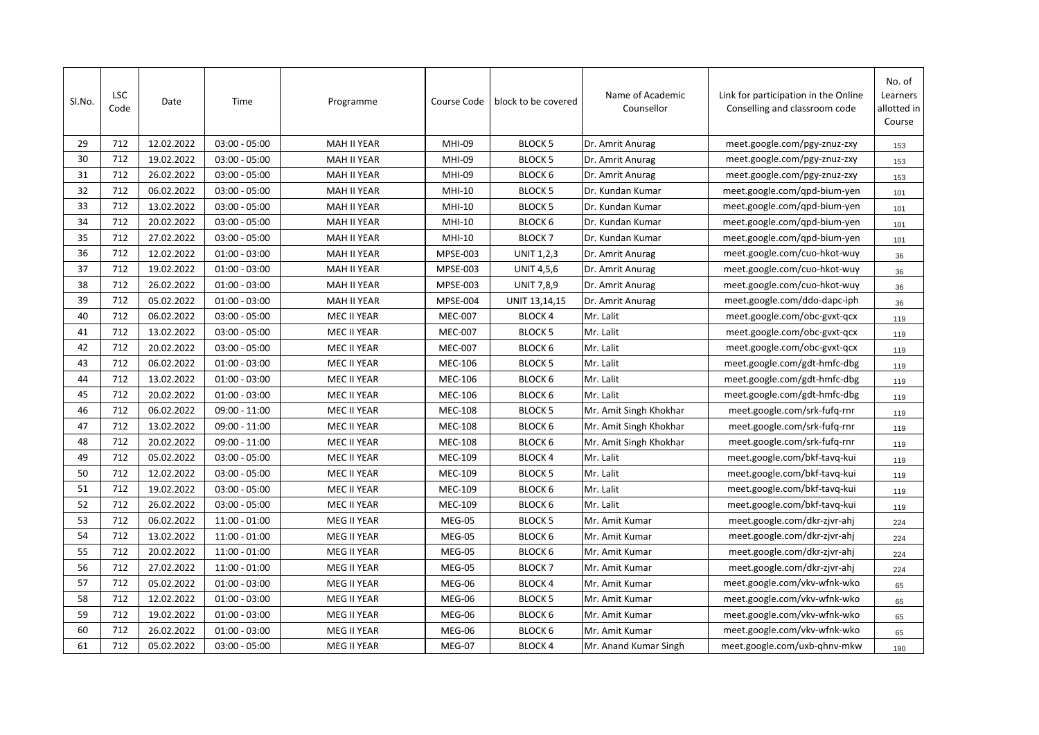| SI.No. | <b>LSC</b><br>Code | Date       | Time            | Programme          | Course Code     | block to be covered | Name of Academic<br>Counsellor | Link for participation in the Online<br>Conselling and classroom code | No. of<br>Learners<br>allotted in<br>Course |
|--------|--------------------|------------|-----------------|--------------------|-----------------|---------------------|--------------------------------|-----------------------------------------------------------------------|---------------------------------------------|
| 29     | 712                | 12.02.2022 | $03:00 - 05:00$ | <b>MAH II YEAR</b> | <b>MHI-09</b>   | <b>BLOCK 5</b>      | Dr. Amrit Anurag               | meet.google.com/pgy-znuz-zxy                                          | 153                                         |
| 30     | 712                | 19.02.2022 | $03:00 - 05:00$ | <b>MAH II YEAR</b> | MHI-09          | <b>BLOCK 5</b>      | Dr. Amrit Anurag               | meet.google.com/pgy-znuz-zxy                                          | 153                                         |
| 31     | 712                | 26.02.2022 | $03:00 - 05:00$ | MAH II YEAR        | MHI-09          | <b>BLOCK 6</b>      | Dr. Amrit Anurag               | meet.google.com/pgy-znuz-zxy                                          | 153                                         |
| 32     | 712                | 06.02.2022 | $03:00 - 05:00$ | MAH II YEAR        | <b>MHI-10</b>   | <b>BLOCK 5</b>      | Dr. Kundan Kumar               | meet.google.com/qpd-bium-yen                                          | 101                                         |
| 33     | 712                | 13.02.2022 | $03:00 - 05:00$ | <b>MAH II YEAR</b> | <b>MHI-10</b>   | <b>BLOCK 5</b>      | Dr. Kundan Kumar               | meet.google.com/qpd-bium-yen                                          | 101                                         |
| 34     | 712                | 20.02.2022 | $03:00 - 05:00$ | <b>MAH II YEAR</b> | MHI-10          | <b>BLOCK 6</b>      | Dr. Kundan Kumar               | meet.google.com/qpd-bium-yen                                          | 101                                         |
| 35     | 712                | 27.02.2022 | $03:00 - 05:00$ | MAH II YEAR        | MHI-10          | <b>BLOCK7</b>       | Dr. Kundan Kumar               | meet.google.com/qpd-bium-yen                                          | 101                                         |
| 36     | 712                | 12.02.2022 | $01:00 - 03:00$ | <b>MAH II YEAR</b> | <b>MPSE-003</b> | <b>UNIT 1,2,3</b>   | Dr. Amrit Anurag               | meet.google.com/cuo-hkot-wuy                                          | 36                                          |
| 37     | 712                | 19.02.2022 | $01:00 - 03:00$ | MAH II YEAR        | MPSE-003        | <b>UNIT 4,5,6</b>   | Dr. Amrit Anurag               | meet.google.com/cuo-hkot-wuy                                          | 36                                          |
| 38     | 712                | 26.02.2022 | $01:00 - 03:00$ | MAH II YEAR        | MPSE-003        | <b>UNIT 7,8,9</b>   | Dr. Amrit Anurag               | meet.google.com/cuo-hkot-wuy                                          | 36                                          |
| 39     | 712                | 05.02.2022 | $01:00 - 03:00$ | <b>MAH II YEAR</b> | <b>MPSE-004</b> | UNIT 13,14,15       | Dr. Amrit Anurag               | meet.google.com/ddo-dapc-iph                                          | 36                                          |
| 40     | 712                | 06.02.2022 | $03:00 - 05:00$ | MEC II YEAR        | <b>MEC-007</b>  | <b>BLOCK4</b>       | Mr. Lalit                      | meet.google.com/obc-gvxt-qcx                                          | 119                                         |
| 41     | 712                | 13.02.2022 | $03:00 - 05:00$ | MEC II YEAR        | <b>MEC-007</b>  | <b>BLOCK 5</b>      | Mr. Lalit                      | meet.google.com/obc-gvxt-qcx                                          | 119                                         |
| 42     | 712                | 20.02.2022 | $03:00 - 05:00$ | MEC II YEAR        | <b>MEC-007</b>  | <b>BLOCK 6</b>      | Mr. Lalit                      | meet.google.com/obc-gvxt-qcx                                          | 119                                         |
| 43     | 712                | 06.02.2022 | $01:00 - 03:00$ | MEC II YEAR        | <b>MEC-106</b>  | <b>BLOCK 5</b>      | Mr. Lalit                      | meet.google.com/gdt-hmfc-dbg                                          | 119                                         |
| 44     | 712                | 13.02.2022 | $01:00 - 03:00$ | MEC II YEAR        | <b>MEC-106</b>  | <b>BLOCK 6</b>      | Mr. Lalit                      | meet.google.com/gdt-hmfc-dbg                                          | 119                                         |
| 45     | 712                | 20.02.2022 | $01:00 - 03:00$ | MEC II YEAR        | <b>MEC-106</b>  | <b>BLOCK 6</b>      | Mr. Lalit                      | meet.google.com/gdt-hmfc-dbg                                          | 119                                         |
| 46     | 712                | 06.02.2022 | $09:00 - 11:00$ | MEC II YEAR        | <b>MEC-108</b>  | <b>BLOCK 5</b>      | Mr. Amit Singh Khokhar         | meet.google.com/srk-fufq-rnr                                          | 119                                         |
| 47     | 712                | 13.02.2022 | $09:00 - 11:00$ | MEC II YEAR        | <b>MEC-108</b>  | <b>BLOCK 6</b>      | Mr. Amit Singh Khokhar         | meet.google.com/srk-fufq-rnr                                          | 119                                         |
| 48     | 712                | 20.02.2022 | $09:00 - 11:00$ | MEC II YEAR        | <b>MEC-108</b>  | <b>BLOCK 6</b>      | Mr. Amit Singh Khokhar         | meet.google.com/srk-fufq-rnr                                          | 119                                         |
| 49     | 712                | 05.02.2022 | $03:00 - 05:00$ | MEC II YEAR        | <b>MEC-109</b>  | <b>BLOCK4</b>       | Mr. Lalit                      | meet.google.com/bkf-tavq-kui                                          | 119                                         |
| 50     | 712                | 12.02.2022 | $03:00 - 05:00$ | MEC II YEAR        | <b>MEC-109</b>  | <b>BLOCK 5</b>      | Mr. Lalit                      | meet.google.com/bkf-tavq-kui                                          | 119                                         |
| 51     | 712                | 19.02.2022 | $03:00 - 05:00$ | MEC II YEAR        | <b>MEC-109</b>  | <b>BLOCK 6</b>      | Mr. Lalit                      | meet.google.com/bkf-tavq-kui                                          | 119                                         |
| 52     | 712                | 26.02.2022 | $03:00 - 05:00$ | MEC II YEAR        | <b>MEC-109</b>  | <b>BLOCK 6</b>      | Mr. Lalit                      | meet.google.com/bkf-tavq-kui                                          | 119                                         |
| 53     | 712                | 06.02.2022 | 11:00 - 01:00   | MEG II YEAR        | <b>MEG-05</b>   | <b>BLOCK 5</b>      | Mr. Amit Kumar                 | meet.google.com/dkr-zjvr-ahj                                          | 224                                         |
| 54     | 712                | 13.02.2022 | 11:00 - 01:00   | MEG II YEAR        | MEG-05          | <b>BLOCK 6</b>      | Mr. Amit Kumar                 | meet.google.com/dkr-zjvr-ahj                                          | 224                                         |
| 55     | 712                | 20.02.2022 | 11:00 - 01:00   | MEG II YEAR        | MEG-05          | <b>BLOCK 6</b>      | Mr. Amit Kumar                 | meet.google.com/dkr-zjvr-ahj                                          | 224                                         |
| 56     | 712                | 27.02.2022 | 11:00 - 01:00   | MEG II YEAR        | MEG-05          | <b>BLOCK7</b>       | Mr. Amit Kumar                 | meet.google.com/dkr-zjvr-ahj                                          | 224                                         |
| 57     | 712                | 05.02.2022 | $01:00 - 03:00$ | MEG II YEAR        | MEG-06          | <b>BLOCK 4</b>      | Mr. Amit Kumar                 | meet.google.com/vkv-wfnk-wko                                          | 65                                          |
| 58     | 712                | 12.02.2022 | $01:00 - 03:00$ | MEG II YEAR        | MEG-06          | <b>BLOCK 5</b>      | Mr. Amit Kumar                 | meet.google.com/vkv-wfnk-wko                                          | 65                                          |
| 59     | 712                | 19.02.2022 | $01:00 - 03:00$ | MEG II YEAR        | MEG-06          | <b>BLOCK 6</b>      | Mr. Amit Kumar                 | meet.google.com/vkv-wfnk-wko                                          | 65                                          |
| 60     | 712                | 26.02.2022 | $01:00 - 03:00$ | MEG II YEAR        | MEG-06          | <b>BLOCK 6</b>      | Mr. Amit Kumar                 | meet.google.com/vkv-wfnk-wko                                          | 65                                          |
| 61     | 712                | 05.02.2022 | $03:00 - 05:00$ | MEG II YEAR        | MEG-07          | <b>BLOCK 4</b>      | Mr. Anand Kumar Singh          | meet.google.com/uxb-ghnv-mkw                                          | 190                                         |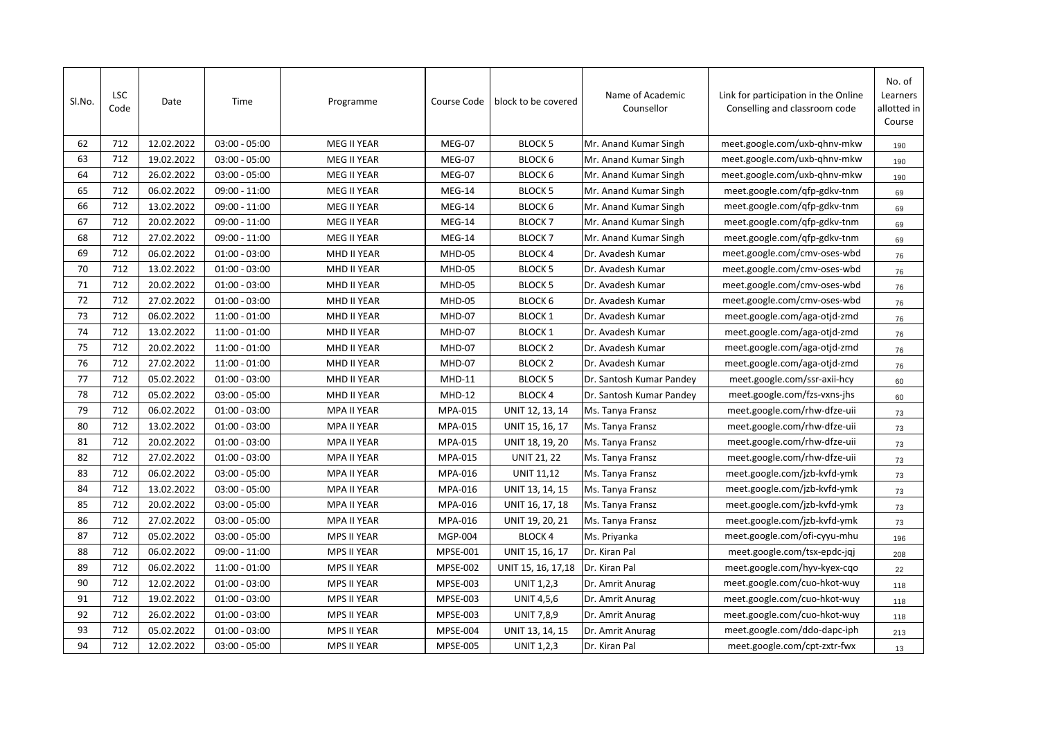| SI.No. | <b>LSC</b><br>Code | Date       | Time            | Programme          | Course Code     | block to be covered | Name of Academic<br>Counsellor | Link for participation in the Online<br>Conselling and classroom code | No. of<br>Learners<br>allotted in<br>Course |
|--------|--------------------|------------|-----------------|--------------------|-----------------|---------------------|--------------------------------|-----------------------------------------------------------------------|---------------------------------------------|
| 62     | 712                | 12.02.2022 | $03:00 - 05:00$ | MEG II YEAR        | MEG-07          | <b>BLOCK 5</b>      | Mr. Anand Kumar Singh          | meet.google.com/uxb-ghnv-mkw                                          | 190                                         |
| 63     | 712                | 19.02.2022 | $03:00 - 05:00$ | MEG II YEAR        | MEG-07          | <b>BLOCK 6</b>      | Mr. Anand Kumar Singh          | meet.google.com/uxb-qhnv-mkw                                          | 190                                         |
| 64     | 712                | 26.02.2022 | $03:00 - 05:00$ | MEG II YEAR        | MEG-07          | <b>BLOCK 6</b>      | Mr. Anand Kumar Singh          | meet.google.com/uxb-qhnv-mkw                                          | 190                                         |
| 65     | 712                | 06.02.2022 | 09:00 - 11:00   | MEG II YEAR        | MEG-14          | <b>BLOCK 5</b>      | Mr. Anand Kumar Singh          | meet.google.com/qfp-gdkv-tnm                                          | 69                                          |
| 66     | 712                | 13.02.2022 | $09:00 - 11:00$ | MEG II YEAR        | MEG-14          | <b>BLOCK 6</b>      | Mr. Anand Kumar Singh          | meet.google.com/qfp-gdkv-tnm                                          | 69                                          |
| 67     | 712                | 20.02.2022 | $09:00 - 11:00$ | MEG II YEAR        | MEG-14          | <b>BLOCK 7</b>      | Mr. Anand Kumar Singh          | meet.google.com/qfp-gdkv-tnm                                          | 69                                          |
| 68     | 712                | 27.02.2022 | 09:00 - 11:00   | MEG II YEAR        | MEG-14          | <b>BLOCK7</b>       | Mr. Anand Kumar Singh          | meet.google.com/qfp-gdkv-tnm                                          | 69                                          |
| 69     | 712                | 06.02.2022 | $01:00 - 03:00$ | MHD II YEAR        | MHD-05          | <b>BLOCK4</b>       | Dr. Avadesh Kumar              | meet.google.com/cmv-oses-wbd                                          | 76                                          |
| 70     | 712                | 13.02.2022 | $01:00 - 03:00$ | MHD II YEAR        | MHD-05          | <b>BLOCK 5</b>      | Dr. Avadesh Kumar              | meet.google.com/cmv-oses-wbd                                          | 76                                          |
| 71     | 712                | 20.02.2022 | $01:00 - 03:00$ | MHD II YEAR        | MHD-05          | <b>BLOCK 5</b>      | Dr. Avadesh Kumar              | meet.google.com/cmv-oses-wbd                                          | 76                                          |
| 72     | 712                | 27.02.2022 | $01:00 - 03:00$ | MHD II YEAR        | MHD-05          | <b>BLOCK 6</b>      | Dr. Avadesh Kumar              | meet.google.com/cmv-oses-wbd                                          | 76                                          |
| 73     | 712                | 06.02.2022 | $11:00 - 01:00$ | MHD II YEAR        | MHD-07          | <b>BLOCK 1</b>      | Dr. Avadesh Kumar              | meet.google.com/aga-otjd-zmd                                          | 76                                          |
| 74     | 712                | 13.02.2022 | $11:00 - 01:00$ | MHD II YEAR        | MHD-07          | <b>BLOCK 1</b>      | Dr. Avadesh Kumar              | meet.google.com/aga-otjd-zmd                                          | 76                                          |
| 75     | 712                | 20.02.2022 | $11:00 - 01:00$ | MHD II YEAR        | MHD-07          | <b>BLOCK 2</b>      | Dr. Avadesh Kumar              | meet.google.com/aga-otjd-zmd                                          | 76                                          |
| 76     | 712                | 27.02.2022 | $11:00 - 01:00$ | MHD II YEAR        | MHD-07          | <b>BLOCK 2</b>      | Dr. Avadesh Kumar              | meet.google.com/aga-otjd-zmd                                          | 76                                          |
| 77     | 712                | 05.02.2022 | $01:00 - 03:00$ | MHD II YEAR        | <b>MHD-11</b>   | <b>BLOCK 5</b>      | Dr. Santosh Kumar Pandey       | meet.google.com/ssr-axii-hcy                                          | 60                                          |
| 78     | 712                | 05.02.2022 | $03:00 - 05:00$ | MHD II YEAR        | <b>MHD-12</b>   | <b>BLOCK 4</b>      | Dr. Santosh Kumar Pandey       | meet.google.com/fzs-vxns-jhs                                          | 60                                          |
| 79     | 712                | 06.02.2022 | $01:00 - 03:00$ | MPA II YEAR        | MPA-015         | UNIT 12, 13, 14     | Ms. Tanya Fransz               | meet.google.com/rhw-dfze-uii                                          | 73                                          |
| 80     | 712                | 13.02.2022 | $01:00 - 03:00$ | <b>MPA II YEAR</b> | MPA-015         | UNIT 15, 16, 17     | Ms. Tanya Fransz               | meet.google.com/rhw-dfze-uii                                          | 73                                          |
| 81     | 712                | 20.02.2022 | $01:00 - 03:00$ | MPA II YEAR        | MPA-015         | UNIT 18, 19, 20     | Ms. Tanya Fransz               | meet.google.com/rhw-dfze-uii                                          | 73                                          |
| 82     | 712                | 27.02.2022 | $01:00 - 03:00$ | MPA II YEAR        | MPA-015         | <b>UNIT 21, 22</b>  | Ms. Tanya Fransz               | meet.google.com/rhw-dfze-uii                                          | 73                                          |
| 83     | 712                | 06.02.2022 | $03:00 - 05:00$ | MPA II YEAR        | MPA-016         | <b>UNIT 11,12</b>   | Ms. Tanya Fransz               | meet.google.com/jzb-kvfd-ymk                                          | 73                                          |
| 84     | 712                | 13.02.2022 | $03:00 - 05:00$ | <b>MPA II YEAR</b> | MPA-016         | UNIT 13, 14, 15     | Ms. Tanya Fransz               | meet.google.com/jzb-kvfd-ymk                                          | 73                                          |
| 85     | 712                | 20.02.2022 | $03:00 - 05:00$ | MPA II YEAR        | MPA-016         | UNIT 16, 17, 18     | Ms. Tanya Fransz               | meet.google.com/jzb-kvfd-ymk                                          | 73                                          |
| 86     | 712                | 27.02.2022 | $03:00 - 05:00$ | MPA II YEAR        | MPA-016         | UNIT 19, 20, 21     | Ms. Tanya Fransz               | meet.google.com/jzb-kvfd-ymk                                          | 73                                          |
| 87     | 712                | 05.02.2022 | $03:00 - 05:00$ | MPS II YEAR        | MGP-004         | <b>BLOCK 4</b>      | Ms. Priyanka                   | meet.google.com/ofi-cyyu-mhu                                          | 196                                         |
| 88     | 712                | 06.02.2022 | $09:00 - 11:00$ | MPS II YEAR        | MPSE-001        | UNIT 15, 16, 17     | Dr. Kiran Pal                  | meet.google.com/tsx-epdc-jqj                                          | 208                                         |
| 89     | 712                | 06.02.2022 | $11:00 - 01:00$ | MPS II YEAR        | <b>MPSE-002</b> | UNIT 15, 16, 17,18  | Dr. Kiran Pal                  | meet.google.com/hyv-kyex-cqo                                          | 22                                          |
| 90     | 712                | 12.02.2022 | $01:00 - 03:00$ | MPS II YEAR        | <b>MPSE-003</b> | UNIT 1,2,3          | Dr. Amrit Anurag               | meet.google.com/cuo-hkot-wuy                                          | 118                                         |
| 91     | 712                | 19.02.2022 | $01:00 - 03:00$ | MPS II YEAR        | MPSE-003        | <b>UNIT 4,5,6</b>   | Dr. Amrit Anurag               | meet.google.com/cuo-hkot-wuy                                          | 118                                         |
| 92     | 712                | 26.02.2022 | $01:00 - 03:00$ | MPS II YEAR        | MPSE-003        | <b>UNIT 7,8,9</b>   | Dr. Amrit Anurag               | meet.google.com/cuo-hkot-wuy                                          | 118                                         |
| 93     | 712                | 05.02.2022 | $01:00 - 03:00$ | MPS II YEAR        | MPSE-004        | UNIT 13, 14, 15     | Dr. Amrit Anurag               | meet.google.com/ddo-dapc-iph                                          | 213                                         |
| 94     | 712                | 12.02.2022 | $03:00 - 05:00$ | MPS II YEAR        | <b>MPSE-005</b> | <b>UNIT 1,2,3</b>   | Dr. Kiran Pal                  | meet.google.com/cpt-zxtr-fwx                                          | 13                                          |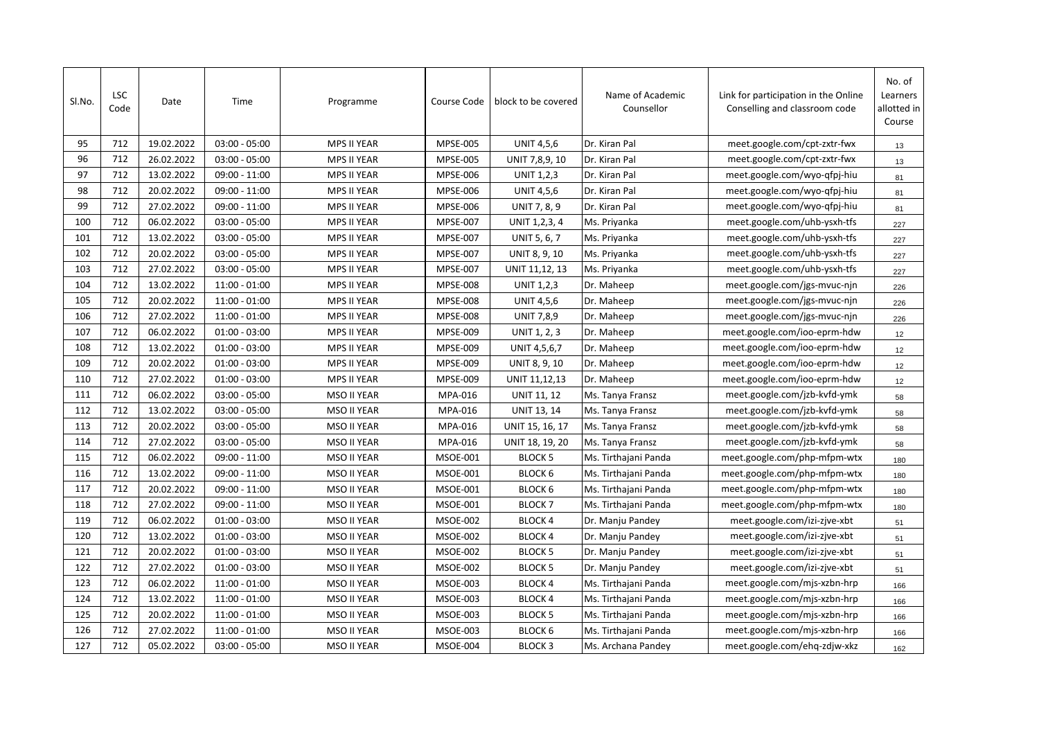| Sl.No. | <b>LSC</b><br>Code | Date       | Time            | Programme          | Course Code     | block to be covered | Name of Academic<br>Counsellor | Link for participation in the Online<br>Conselling and classroom code | No. of<br>Learners<br>allotted in<br>Course |
|--------|--------------------|------------|-----------------|--------------------|-----------------|---------------------|--------------------------------|-----------------------------------------------------------------------|---------------------------------------------|
| 95     | 712                | 19.02.2022 | $03:00 - 05:00$ | <b>MPS II YEAR</b> | <b>MPSE-005</b> | <b>UNIT 4,5,6</b>   | Dr. Kiran Pal                  | meet.google.com/cpt-zxtr-fwx                                          | 13                                          |
| 96     | 712                | 26.02.2022 | $03:00 - 05:00$ | <b>MPS II YEAR</b> | <b>MPSE-005</b> | UNIT 7,8,9, 10      | Dr. Kiran Pal                  | meet.google.com/cpt-zxtr-fwx                                          | 13                                          |
| 97     | 712                | 13.02.2022 | $09:00 - 11:00$ | MPS II YEAR        | <b>MPSE-006</b> | <b>UNIT 1,2,3</b>   | Dr. Kiran Pal                  | meet.google.com/wyo-qfpj-hiu                                          | 81                                          |
| 98     | 712                | 20.02.2022 | $09:00 - 11:00$ | MPS II YEAR        | <b>MPSE-006</b> | <b>UNIT 4,5,6</b>   | Dr. Kiran Pal                  | meet.google.com/wyo-qfpj-hiu                                          | 81                                          |
| 99     | 712                | 27.02.2022 | $09:00 - 11:00$ | MPS II YEAR        | <b>MPSE-006</b> | UNIT 7, 8, 9        | Dr. Kiran Pal                  | meet.google.com/wyo-qfpj-hiu                                          | 81                                          |
| 100    | 712                | 06.02.2022 | $03:00 - 05:00$ | MPS II YEAR        | <b>MPSE-007</b> | UNIT 1,2,3, 4       | Ms. Priyanka                   | meet.google.com/uhb-ysxh-tfs                                          | 227                                         |
| 101    | 712                | 13.02.2022 | $03:00 - 05:00$ | MPS II YEAR        | <b>MPSE-007</b> | UNIT 5, 6, 7        | Ms. Priyanka                   | meet.google.com/uhb-ysxh-tfs                                          | 227                                         |
| 102    | 712                | 20.02.2022 | $03:00 - 05:00$ | MPS II YEAR        | <b>MPSE-007</b> | UNIT 8, 9, 10       | Ms. Priyanka                   | meet.google.com/uhb-ysxh-tfs                                          | 227                                         |
| 103    | 712                | 27.02.2022 | $03:00 - 05:00$ | MPS II YEAR        | <b>MPSE-007</b> | UNIT 11,12, 13      | Ms. Priyanka                   | meet.google.com/uhb-ysxh-tfs                                          | 227                                         |
| 104    | 712                | 13.02.2022 | $11:00 - 01:00$ | MPS II YEAR        | <b>MPSE-008</b> | <b>UNIT 1,2,3</b>   | Dr. Maheep                     | meet.google.com/jgs-mvuc-njn                                          | 226                                         |
| 105    | 712                | 20.02.2022 | 11:00 - 01:00   | <b>MPS II YEAR</b> | <b>MPSE-008</b> | <b>UNIT 4,5,6</b>   | Dr. Maheep                     | meet.google.com/jgs-mvuc-njn                                          | 226                                         |
| 106    | 712                | 27.02.2022 | 11:00 - 01:00   | MPS II YEAR        | <b>MPSE-008</b> | <b>UNIT 7,8,9</b>   | Dr. Maheep                     | meet.google.com/jgs-mvuc-njn                                          | 226                                         |
| 107    | 712                | 06.02.2022 | $01:00 - 03:00$ | <b>MPS II YEAR</b> | <b>MPSE-009</b> | <b>UNIT 1, 2, 3</b> | Dr. Maheep                     | meet.google.com/ioo-eprm-hdw                                          | 12                                          |
| 108    | 712                | 13.02.2022 | $01:00 - 03:00$ | <b>MPS II YEAR</b> | <b>MPSE-009</b> | UNIT 4,5,6,7        | Dr. Maheep                     | meet.google.com/ioo-eprm-hdw                                          | 12                                          |
| 109    | 712                | 20.02.2022 | $01:00 - 03:00$ | MPS II YEAR        | <b>MPSE-009</b> | UNIT 8, 9, 10       | Dr. Maheep                     | meet.google.com/ioo-eprm-hdw                                          | 12                                          |
| 110    | 712                | 27.02.2022 | $01:00 - 03:00$ | <b>MPS II YEAR</b> | <b>MPSE-009</b> | UNIT 11,12,13       | Dr. Maheep                     | meet.google.com/ioo-eprm-hdw                                          | 12                                          |
| 111    | 712                | 06.02.2022 | $03:00 - 05:00$ | <b>MSO II YEAR</b> | MPA-016         | <b>UNIT 11, 12</b>  | Ms. Tanya Fransz               | meet.google.com/jzb-kvfd-ymk                                          | 58                                          |
| 112    | 712                | 13.02.2022 | $03:00 - 05:00$ | <b>MSO II YEAR</b> | MPA-016         | <b>UNIT 13, 14</b>  | Ms. Tanya Fransz               | meet.google.com/jzb-kvfd-ymk                                          | 58                                          |
| 113    | 712                | 20.02.2022 | $03:00 - 05:00$ | <b>MSO II YEAR</b> | MPA-016         | UNIT 15, 16, 17     | Ms. Tanya Fransz               | meet.google.com/jzb-kvfd-ymk                                          | 58                                          |
| 114    | 712                | 27.02.2022 | $03:00 - 05:00$ | <b>MSO II YEAR</b> | MPA-016         | UNIT 18, 19, 20     | Ms. Tanya Fransz               | meet.google.com/jzb-kvfd-ymk                                          | 58                                          |
| 115    | 712                | 06.02.2022 | 09:00 - 11:00   | <b>MSO II YEAR</b> | <b>MSOE-001</b> | <b>BLOCK 5</b>      | Ms. Tirthajani Panda           | meet.google.com/php-mfpm-wtx                                          | 180                                         |
| 116    | 712                | 13.02.2022 | 09:00 - 11:00   | <b>MSO II YEAR</b> | <b>MSOE-001</b> | <b>BLOCK 6</b>      | Ms. Tirthajani Panda           | meet.google.com/php-mfpm-wtx                                          | 180                                         |
| 117    | 712                | 20.02.2022 | 09:00 - 11:00   | <b>MSO II YEAR</b> | <b>MSOE-001</b> | <b>BLOCK 6</b>      | Ms. Tirthajani Panda           | meet.google.com/php-mfpm-wtx                                          | 180                                         |
| 118    | 712                | 27.02.2022 | 09:00 - 11:00   | MSO II YEAR        | <b>MSOE-001</b> | <b>BLOCK7</b>       | Ms. Tirthajani Panda           | meet.google.com/php-mfpm-wtx                                          | 180                                         |
| 119    | 712                | 06.02.2022 | $01:00 - 03:00$ | MSO II YEAR        | <b>MSOE-002</b> | <b>BLOCK4</b>       | Dr. Manju Pandey               | meet.google.com/izi-zjve-xbt                                          | 51                                          |
| 120    | 712                | 13.02.2022 | $01:00 - 03:00$ | MSO II YEAR        | <b>MSOE-002</b> | <b>BLOCK 4</b>      | Dr. Manju Pandey               | meet.google.com/izi-zjve-xbt                                          | 51                                          |
| 121    | 712                | 20.02.2022 | $01:00 - 03:00$ | MSO II YEAR        | <b>MSOE-002</b> | <b>BLOCK 5</b>      | Dr. Manju Pandey               | meet.google.com/izi-zjve-xbt                                          | 51                                          |
| 122    | 712                | 27.02.2022 | $01:00 - 03:00$ | MSO II YEAR        | <b>MSOE-002</b> | <b>BLOCK 5</b>      | Dr. Manju Pandey               | meet.google.com/izi-zjve-xbt                                          | 51                                          |
| 123    | 712                | 06.02.2022 | 11:00 - 01:00   | MSO II YEAR        | <b>MSOE-003</b> | <b>BLOCK 4</b>      | Ms. Tirthajani Panda           | meet.google.com/mjs-xzbn-hrp                                          | 166                                         |
| 124    | 712                | 13.02.2022 | 11:00 - 01:00   | MSO II YEAR        | <b>MSOE-003</b> | <b>BLOCK 4</b>      | Ms. Tirthajani Panda           | meet.google.com/mjs-xzbn-hrp                                          | 166                                         |
| 125    | 712                | 20.02.2022 | 11:00 - 01:00   | MSO II YEAR        | <b>MSOE-003</b> | <b>BLOCK 5</b>      | Ms. Tirthajani Panda           | meet.google.com/mjs-xzbn-hrp                                          | 166                                         |
| 126    | 712                | 27.02.2022 | 11:00 - 01:00   | MSO II YEAR        | <b>MSOE-003</b> | BLOCK <sub>6</sub>  | Ms. Tirthajani Panda           | meet.google.com/mjs-xzbn-hrp                                          | 166                                         |
| 127    | 712                | 05.02.2022 | $03:00 - 05:00$ | <b>MSO II YEAR</b> | MSOE-004        | <b>BLOCK 3</b>      | Ms. Archana Pandey             | meet.google.com/ehq-zdjw-xkz                                          | 162                                         |